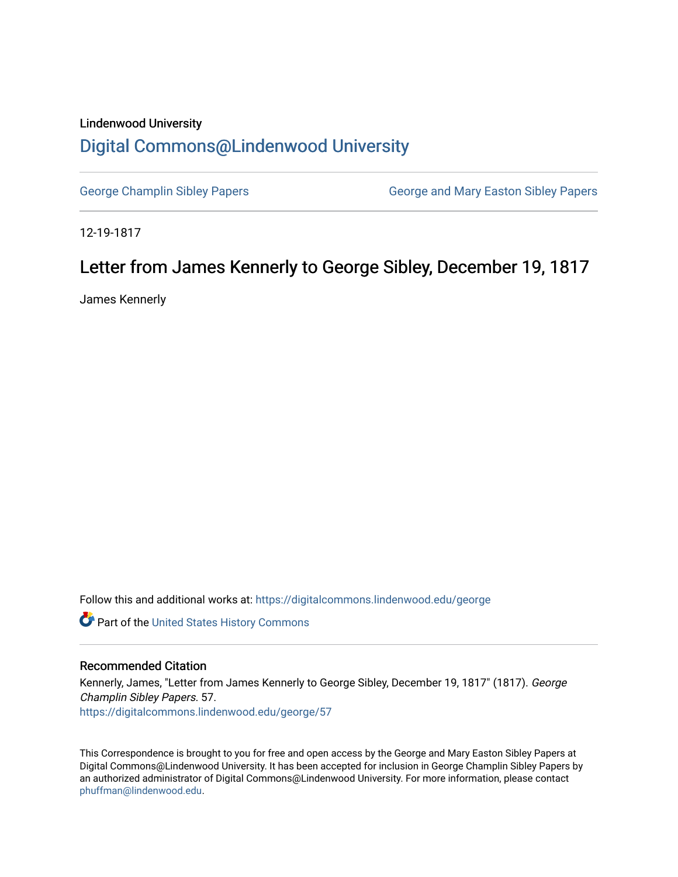## Lindenwood University [Digital Commons@Lindenwood University](https://digitalcommons.lindenwood.edu/)

[George Champlin Sibley Papers](https://digitalcommons.lindenwood.edu/george) George and Mary Easton Sibley Papers

12-19-1817

## Letter from James Kennerly to George Sibley, December 19, 1817

James Kennerly

Follow this and additional works at: [https://digitalcommons.lindenwood.edu/george](https://digitalcommons.lindenwood.edu/george?utm_source=digitalcommons.lindenwood.edu%2Fgeorge%2F57&utm_medium=PDF&utm_campaign=PDFCoverPages)

Part of the [United States History Commons](http://network.bepress.com/hgg/discipline/495?utm_source=digitalcommons.lindenwood.edu%2Fgeorge%2F57&utm_medium=PDF&utm_campaign=PDFCoverPages) 

## Recommended Citation

Kennerly, James, "Letter from James Kennerly to George Sibley, December 19, 1817" (1817). George Champlin Sibley Papers. 57. [https://digitalcommons.lindenwood.edu/george/57](https://digitalcommons.lindenwood.edu/george/57?utm_source=digitalcommons.lindenwood.edu%2Fgeorge%2F57&utm_medium=PDF&utm_campaign=PDFCoverPages) 

This Correspondence is brought to you for free and open access by the George and Mary Easton Sibley Papers at Digital Commons@Lindenwood University. It has been accepted for inclusion in George Champlin Sibley Papers by an authorized administrator of Digital Commons@Lindenwood University. For more information, please contact [phuffman@lindenwood.edu](mailto:phuffman@lindenwood.edu).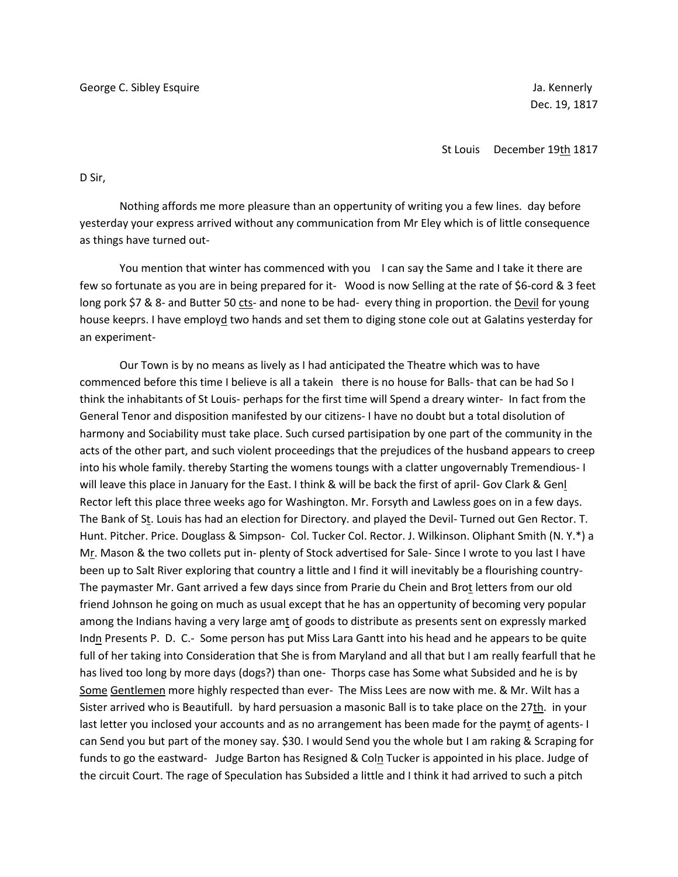St Louis December 19th 1817

D Sir,

Nothing affords me more pleasure than an oppertunity of writing you a few lines. day before yesterday your express arrived without any communication from Mr Eley which is of little consequence as things have turned out-

You mention that winter has commenced with you I can say the Same and I take it there are few so fortunate as you are in being prepared for it- Wood is now Selling at the rate of \$6-cord & 3 feet long pork \$7 & 8- and Butter 50 cts- and none to be had- every thing in proportion. the Devil for young house keeprs. I have employd two hands and set them to diging stone cole out at Galatins yesterday for an experiment-

Our Town is by no means as lively as I had anticipated the Theatre which was to have commenced before this time I believe is all a takein there is no house for Balls- that can be had So I think the inhabitants of St Louis- perhaps for the first time will Spend a dreary winter- In fact from the General Tenor and disposition manifested by our citizens- I have no doubt but a total disolution of harmony and Sociability must take place. Such cursed partisipation by one part of the community in the acts of the other part, and such violent proceedings that the prejudices of the husband appears to creep into his whole family. thereby Starting the womens toungs with a clatter ungovernably Tremendious- I will leave this place in January for the East. I think & will be back the first of april- Gov Clark & Genl Rector left this place three weeks ago for Washington. Mr. Forsyth and Lawless goes on in a few days. The Bank of St. Louis has had an election for Directory. and played the Devil- Turned out Gen Rector. T. Hunt. Pitcher. Price. Douglass & Simpson- Col. Tucker Col. Rector. J. Wilkinson. Oliphant Smith (N. Y.\*) a Mr. Mason & the two collets put in- plenty of Stock advertised for Sale- Since I wrote to you last I have been up to Salt River exploring that country a little and I find it will inevitably be a flourishing country-The paymaster Mr. Gant arrived a few days since from Prarie du Chein and Brot letters from our old friend Johnson he going on much as usual except that he has an oppertunity of becoming very popular among the Indians having a very large amt of goods to distribute as presents sent on expressly marked Indn Presents P. D. C.- Some person has put Miss Lara Gantt into his head and he appears to be quite full of her taking into Consideration that She is from Maryland and all that but I am really fearfull that he has lived too long by more days (dogs?) than one- Thorps case has Some what Subsided and he is by Some Gentlemen more highly respected than ever- The Miss Lees are now with me. & Mr. Wilt has a Sister arrived who is Beautifull. by hard persuasion a masonic Ball is to take place on the 27th. in your last letter you inclosed your accounts and as no arrangement has been made for the paymt of agents- I can Send you but part of the money say. \$30. I would Send you the whole but I am raking & Scraping for funds to go the eastward- Judge Barton has Resigned & Coln Tucker is appointed in his place. Judge of the circuit Court. The rage of Speculation has Subsided a little and I think it had arrived to such a pitch